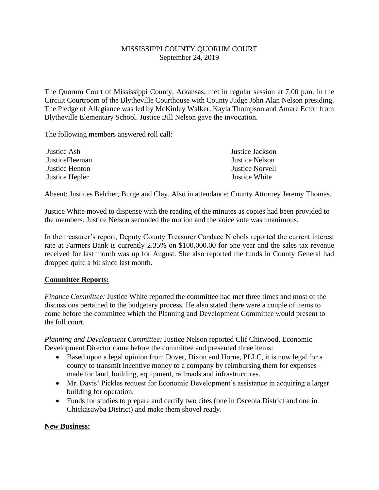## MISSISSIPPI COUNTY QUORUM COURT September 24, 2019

The Quorum Court of Mississippi County, Arkansas, met in regular session at 7:00 p.m. in the Circuit Courtroom of the Blytheville Courthouse with County Judge John Alan Nelson presiding. The Pledge of Allegiance was led by McKinley Walker, Kayla Thompson and Amare Ecton from Blytheville Elementary School. Justice Bill Nelson gave the invocation.

The following members answered roll call:

| Justice Ash           | Justice Jackson        |
|-----------------------|------------------------|
| <b>JusticeFleeman</b> | <b>Justice Nelson</b>  |
| Justice Henton        | <b>Justice Norvell</b> |
| Justice Hepler        | Justice White          |

Absent: Justices Belcher, Burge and Clay. Also in attendance: County Attorney Jeremy Thomas.

Justice White moved to dispense with the reading of the minutes as copies had been provided to the members. Justice Nelson seconded the motion and the voice vote was unanimous.

In the treasurer's report, Deputy County Treasurer Candace Nichols reported the current interest rate at Farmers Bank is currently 2.35% on \$100,000.00 for one year and the sales tax revenue received for last month was up for August. She also reported the funds in County General had dropped quite a bit since last month.

## **Committee Reports:**

*Finance Committee:* Justice White reported the committee had met three times and most of the discussions pertained to the budgetary process. He also stated there were a couple of items to come before the committee which the Planning and Development Committee would present to the full court.

*Planning and Development Committee:* Justice Nelson reported Clif Chitwood, Economic Development Director came before the committee and presented three items:

- Based upon a legal opinion from Dover, Dixon and Horne, PLLC, it is now legal for a county to transmit incentive money to a company by reimbursing them for expenses made for land, building, equipment, railroads and infrastructures.
- Mr. Davis' Pickles request for Economic Development's assistance in acquiring a larger building for operation.
- Funds for studies to prepare and certify two cites (one in Osceola District and one in Chickasawba District) and make them shovel ready.

## **New Business:**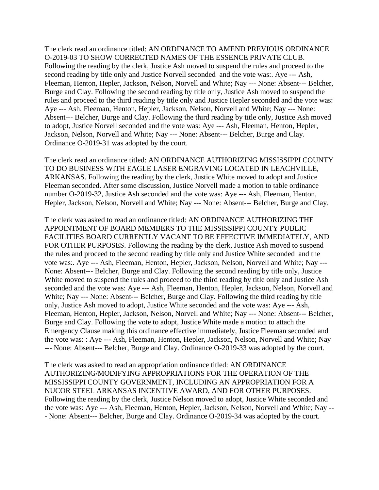The clerk read an ordinance titled: AN ORDINANCE TO AMEND PREVIOUS ORDINANCE O-2019-03 TO SHOW CORRECTED NAMES OF THE ESSENCE PRIVATE CLUB. Following the reading by the clerk, Justice Ash moved to suspend the rules and proceed to the second reading by title only and Justice Norvell seconded and the vote was:. Aye --- Ash, Fleeman, Henton, Hepler, Jackson, Nelson, Norvell and White; Nay --- None: Absent--- Belcher, Burge and Clay. Following the second reading by title only, Justice Ash moved to suspend the rules and proceed to the third reading by title only and Justice Hepler seconded and the vote was: Aye --- Ash, Fleeman, Henton, Hepler, Jackson, Nelson, Norvell and White; Nay --- None: Absent--- Belcher, Burge and Clay. Following the third reading by title only, Justice Ash moved to adopt, Justice Norvell seconded and the vote was: Aye --- Ash, Fleeman, Henton, Hepler, Jackson, Nelson, Norvell and White; Nay --- None: Absent--- Belcher, Burge and Clay. Ordinance O-2019-31 was adopted by the court.

The clerk read an ordinance titled: AN ORDINANCE AUTHORIZING MISSISSIPPI COUNTY TO DO BUSINESS WITH EAGLE LASER ENGRAVING LOCATED IN LEACHVILLE, ARKANSAS. Following the reading by the clerk, Justice White moved to adopt and Justice Fleeman seconded. After some discussion, Justice Norvell made a motion to table ordinance number O-2019-32, Justice Ash seconded and the vote was: Aye --- Ash, Fleeman, Henton, Hepler, Jackson, Nelson, Norvell and White; Nay --- None: Absent--- Belcher, Burge and Clay.

The clerk was asked to read an ordinance titled: AN ORDINANCE AUTHORIZING THE APPOINTMENT OF BOARD MEMBERS TO THE MISSISSIPPI COUNTY PUBLIC FACILITIES BOARD CURRENTLY VACANT TO BE EFFECTIVE IMMEDIATELY, AND FOR OTHER PURPOSES. Following the reading by the clerk, Justice Ash moved to suspend the rules and proceed to the second reading by title only and Justice White seconded and the vote was:. Aye --- Ash, Fleeman, Henton, Hepler, Jackson, Nelson, Norvell and White; Nay --- None: Absent--- Belcher, Burge and Clay. Following the second reading by title only, Justice White moved to suspend the rules and proceed to the third reading by title only and Justice Ash seconded and the vote was: Aye --- Ash, Fleeman, Henton, Hepler, Jackson, Nelson, Norvell and White; Nay --- None: Absent--- Belcher, Burge and Clay. Following the third reading by title only, Justice Ash moved to adopt, Justice White seconded and the vote was: Aye --- Ash, Fleeman, Henton, Hepler, Jackson, Nelson, Norvell and White; Nay --- None: Absent--- Belcher, Burge and Clay. Following the vote to adopt, Justice White made a motion to attach the Emergency Clause making this ordinance effective immediately, Justice Fleeman seconded and the vote was: : Aye --- Ash, Fleeman, Henton, Hepler, Jackson, Nelson, Norvell and White; Nay --- None: Absent--- Belcher, Burge and Clay. Ordinance O-2019-33 was adopted by the court.

The clerk was asked to read an appropriation ordinance titled: AN ORDINANCE AUTHORIZING/MODIFYING APPROPRIATIONS FOR THE OPERATION OF THE MISSISSIPPI COUNTY GOVERNMENT, INCLUDING AN APPROPRIATION FOR A NUCOR STEEL ARKANSAS INCENTIVE AWARD, AND FOR OTHER PURPOSES. Following the reading by the clerk, Justice Nelson moved to adopt, Justice White seconded and the vote was: Aye --- Ash, Fleeman, Henton, Hepler, Jackson, Nelson, Norvell and White; Nay -- - None: Absent--- Belcher, Burge and Clay. Ordinance O-2019-34 was adopted by the court.